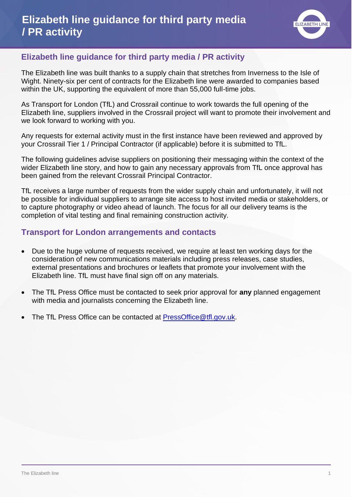

# **Elizabeth line guidance for third party media / PR activity**

The Elizabeth line was built thanks to a supply chain that stretches from Inverness to the Isle of Wight. Ninety-six per cent of contracts for the Elizabeth line were awarded to companies based within the UK, supporting the equivalent of more than 55,000 full-time jobs.

As Transport for London (TfL) and Crossrail continue to work towards the full opening of the Elizabeth line, suppliers involved in the Crossrail project will want to promote their involvement and we look forward to working with you.

Any requests for external activity must in the first instance have been reviewed and approved by your Crossrail Tier 1 / Principal Contractor (if applicable) before it is submitted to TfL.

The following guidelines advise suppliers on positioning their messaging within the context of the wider Elizabeth line story, and how to gain any necessary approvals from TfL once approval has been gained from the relevant Crossrail Principal Contractor.

TfL receives a large number of requests from the wider supply chain and unfortunately, it will not be possible for individual suppliers to arrange site access to host invited media or stakeholders, or to capture photography or video ahead of launch. The focus for all our delivery teams is the completion of vital testing and final remaining construction activity.

# **Transport for London arrangements and contacts**

- Due to the huge volume of requests received, we require at least ten working days for the consideration of new communications materials including press releases, case studies, external presentations and brochures or leaflets that promote your involvement with the Elizabeth line. TfL must have final sign off on any materials.
- The TfL Press Office must be contacted to seek prior approval for **any** planned engagement with media and journalists concerning the Elizabeth line.
- The TfL Press Office can be contacted at [PressOffice@tfl.gov.uk.](mailto:PressOffice@tfl.gov.uk)